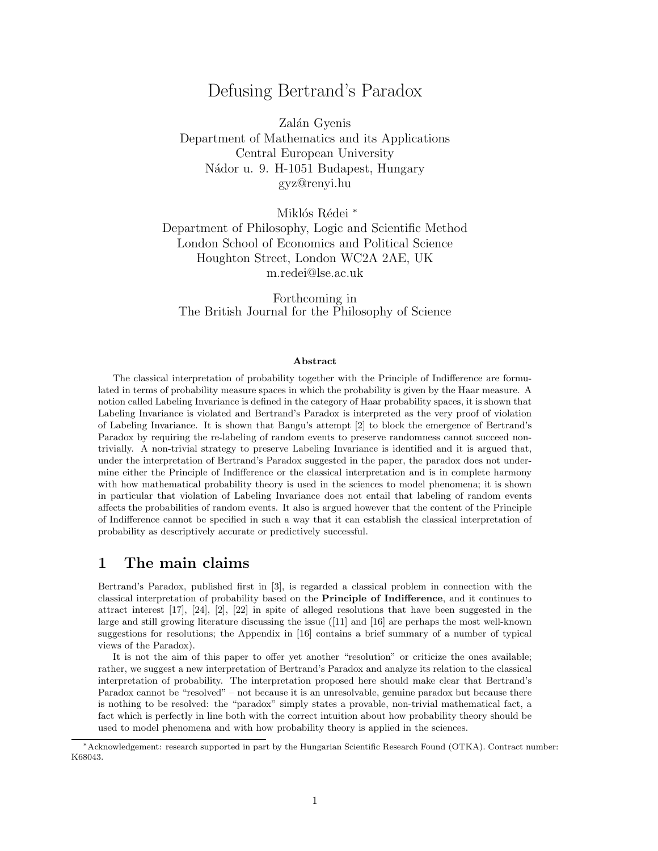# Defusing Bertrand's Paradox

Zalán Gyenis Department of Mathematics and its Applications Central European University Nádor u. 9. H-1051 Budapest, Hungary gyz@renyi.hu

Miklós Rédei<sup>\*</sup> Department of Philosophy, Logic and Scientific Method London School of Economics and Political Science Houghton Street, London WC2A 2AE, UK m.redei@lse.ac.uk

Forthcoming in The British Journal for the Philosophy of Science

### Abstract

The classical interpretation of probability together with the Principle of Indifference are formulated in terms of probability measure spaces in which the probability is given by the Haar measure. A notion called Labeling Invariance is defined in the category of Haar probability spaces, it is shown that Labeling Invariance is violated and Bertrand's Paradox is interpreted as the very proof of violation of Labeling Invariance. It is shown that Bangu's attempt [2] to block the emergence of Bertrand's Paradox by requiring the re-labeling of random events to preserve randomness cannot succeed nontrivially. A non-trivial strategy to preserve Labeling Invariance is identified and it is argued that, under the interpretation of Bertrand's Paradox suggested in the paper, the paradox does not undermine either the Principle of Indifference or the classical interpretation and is in complete harmony with how mathematical probability theory is used in the sciences to model phenomena; it is shown in particular that violation of Labeling Invariance does not entail that labeling of random events affects the probabilities of random events. It also is argued however that the content of the Principle of Indifference cannot be specified in such a way that it can establish the classical interpretation of probability as descriptively accurate or predictively successful.

# 1 The main claims

Bertrand's Paradox, published first in [3], is regarded a classical problem in connection with the classical interpretation of probability based on the Principle of Indifference, and it continues to attract interest [17], [24], [2], [22] in spite of alleged resolutions that have been suggested in the large and still growing literature discussing the issue ([11] and [16] are perhaps the most well-known suggestions for resolutions; the Appendix in [16] contains a brief summary of a number of typical views of the Paradox).

It is not the aim of this paper to offer yet another "resolution" or criticize the ones available; rather, we suggest a new interpretation of Bertrand's Paradox and analyze its relation to the classical interpretation of probability. The interpretation proposed here should make clear that Bertrand's Paradox cannot be "resolved" – not because it is an unresolvable, genuine paradox but because there is nothing to be resolved: the "paradox" simply states a provable, non-trivial mathematical fact, a fact which is perfectly in line both with the correct intuition about how probability theory should be used to model phenomena and with how probability theory is applied in the sciences.

<sup>∗</sup>Acknowledgement: research supported in part by the Hungarian Scientific Research Found (OTKA). Contract number: K68043.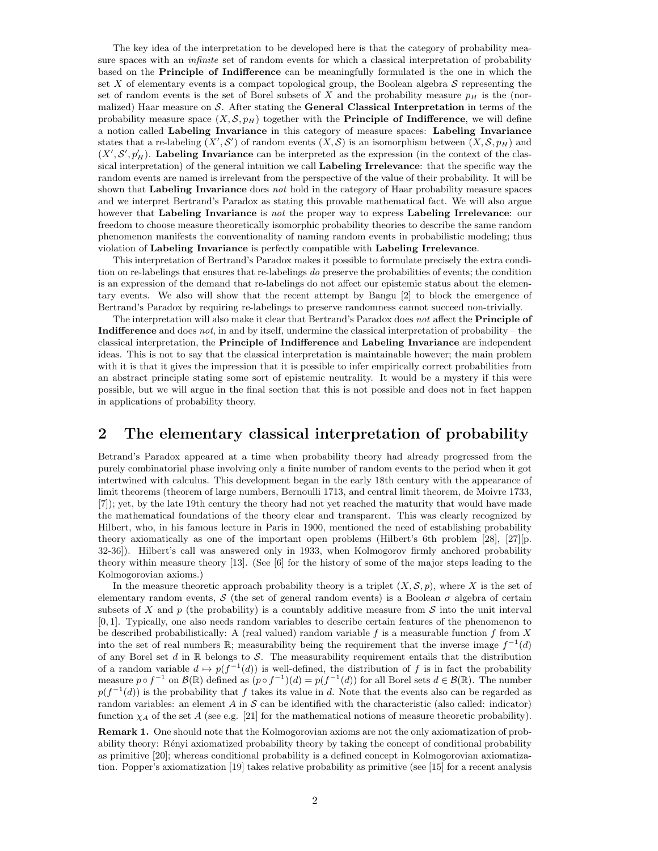The key idea of the interpretation to be developed here is that the category of probability measure spaces with an *infinite* set of random events for which a classical interpretation of probability based on the Principle of Indifference can be meaningfully formulated is the one in which the set  $X$  of elementary events is a compact topological group, the Boolean algebra  $S$  representing the set of random events is the set of Borel subsets of X and the probability measure  $p<sub>H</sub>$  is the (normalized) Haar measure on  $S$ . After stating the **General Classical Interpretation** in terms of the probability measure space  $(X, \mathcal{S}, p_H)$  together with the **Principle of Indifference**, we will define a notion called Labeling Invariance in this category of measure spaces: Labeling Invariance states that a re-labeling  $(X', \mathcal{S}')$  of random events  $(X, \mathcal{S})$  is an isomorphism between  $(X, \mathcal{S}, p_H)$  and  $(X', S', p'_H)$ . Labeling Invariance can be interpreted as the expression (in the context of the classical interpretation) of the general intuition we call Labeling Irrelevance: that the specific way the random events are named is irrelevant from the perspective of the value of their probability. It will be shown that Labeling Invariance does not hold in the category of Haar probability measure spaces and we interpret Bertrand's Paradox as stating this provable mathematical fact. We will also argue however that Labeling Invariance is not the proper way to express Labeling Irrelevance: our freedom to choose measure theoretically isomorphic probability theories to describe the same random phenomenon manifests the conventionality of naming random events in probabilistic modeling; thus violation of Labeling Invariance is perfectly compatible with Labeling Irrelevance.

This interpretation of Bertrand's Paradox makes it possible to formulate precisely the extra condition on re-labelings that ensures that re-labelings do preserve the probabilities of events; the condition is an expression of the demand that re-labelings do not affect our epistemic status about the elementary events. We also will show that the recent attempt by Bangu [2] to block the emergence of Bertrand's Paradox by requiring re-labelings to preserve randomness cannot succeed non-trivially.

The interpretation will also make it clear that Bertrand's Paradox does not affect the Principle of Indifference and does not, in and by itself, undermine the classical interpretation of probability – the classical interpretation, the Principle of Indifference and Labeling Invariance are independent ideas. This is not to say that the classical interpretation is maintainable however; the main problem with it is that it gives the impression that it is possible to infer empirically correct probabilities from an abstract principle stating some sort of epistemic neutrality. It would be a mystery if this were possible, but we will argue in the final section that this is not possible and does not in fact happen in applications of probability theory.

# 2 The elementary classical interpretation of probability

Betrand's Paradox appeared at a time when probability theory had already progressed from the purely combinatorial phase involving only a finite number of random events to the period when it got intertwined with calculus. This development began in the early 18th century with the appearance of limit theorems (theorem of large numbers, Bernoulli 1713, and central limit theorem, de Moivre 1733, [7]); yet, by the late 19th century the theory had not yet reached the maturity that would have made the mathematical foundations of the theory clear and transparent. This was clearly recognized by Hilbert, who, in his famous lecture in Paris in 1900, mentioned the need of establishing probability theory axiomatically as one of the important open problems (Hilbert's 6th problem [28], [27][p. 32-36]). Hilbert's call was answered only in 1933, when Kolmogorov firmly anchored probability theory within measure theory [13]. (See [6] for the history of some of the major steps leading to the Kolmogorovian axioms.)

In the measure theoretic approach probability theory is a triplet  $(X, \mathcal{S}, p)$ , where X is the set of elementary random events, S (the set of general random events) is a Boolean  $\sigma$  algebra of certain subsets of X and  $p$  (the probability) is a countably additive measure from S into the unit interval [0, 1]. Typically, one also needs random variables to describe certain features of the phenomenon to be described probabilistically: A (real valued) random variable  $f$  is a measurable function  $f$  from  $X$ into the set of real numbers  $\mathbb{R}$ ; measurability being the requirement that the inverse image  $f^{-1}(d)$ of any Borel set d in  $\mathbb R$  belongs to S. The measurability requirement entails that the distribution of a random variable  $d \mapsto p(f^{-1}(d))$  is well-defined, the distribution of f is in fact the probability measure  $p \circ f^{-1}$  on  $\mathcal{B}(\mathbb{R})$  defined as  $(p \circ f^{-1})(d) = p(f^{-1}(d))$  for all Borel sets  $d \in \mathcal{B}(\mathbb{R})$ . The number  $p(f^{-1}(d))$  is the probability that f takes its value in d. Note that the events also can be regarded as random variables: an element  $A$  in  $S$  can be identified with the characteristic (also called: indicator) function  $\chi_A$  of the set A (see e.g. [21] for the mathematical notions of measure theoretic probability).

Remark 1. One should note that the Kolmogorovian axioms are not the only axiomatization of probability theory: Rényi axiomatized probability theory by taking the concept of conditional probability as primitive [20]; whereas conditional probability is a defined concept in Kolmogorovian axiomatization. Popper's axiomatization [19] takes relative probability as primitive (see [15] for a recent analysis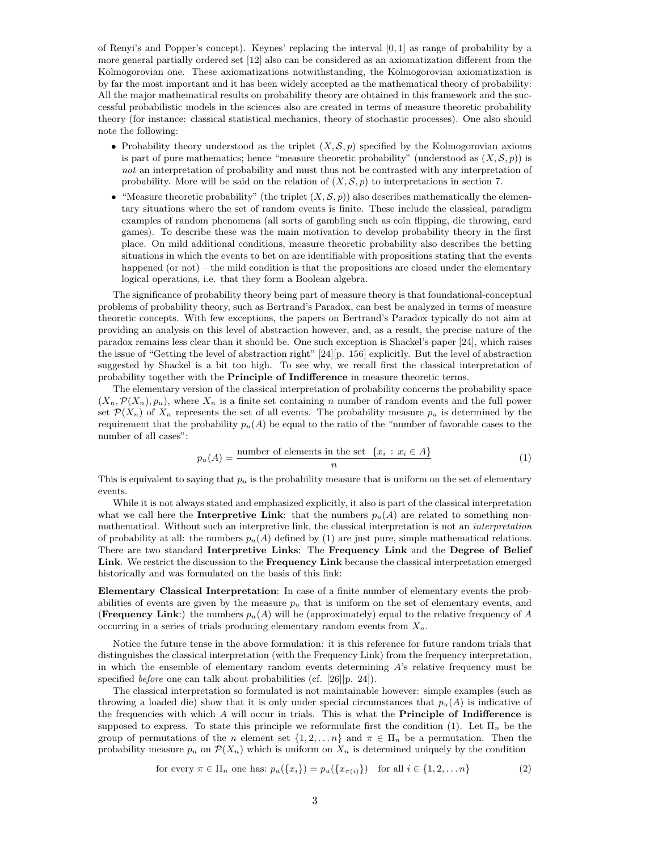of Renyi's and Popper's concept). Keynes' replacing the interval [0, 1] as range of probability by a more general partially ordered set [12] also can be considered as an axiomatization different from the Kolmogorovian one. These axiomatizations notwithstanding, the Kolmogorovian axiomatization is by far the most important and it has been widely accepted as the mathematical theory of probability: All the major mathematical results on probability theory are obtained in this framework and the successful probabilistic models in the sciences also are created in terms of measure theoretic probability theory (for instance: classical statistical mechanics, theory of stochastic processes). One also should note the following:

- Probability theory understood as the triplet  $(X, \mathcal{S}, p)$  specified by the Kolmogorovian axioms is part of pure mathematics; hence "measure theoretic probability" (understood as  $(X, \mathcal{S}, p)$ ) is not an interpretation of probability and must thus not be contrasted with any interpretation of probability. More will be said on the relation of  $(X, \mathcal{S}, p)$  to interpretations in section 7.
- "Measure theoretic probability" (the triplet  $(X, \mathcal{S}, p)$ ) also describes mathematically the elementary situations where the set of random events is finite. These include the classical, paradigm examples of random phenomena (all sorts of gambling such as coin flipping, die throwing, card games). To describe these was the main motivation to develop probability theory in the first place. On mild additional conditions, measure theoretic probability also describes the betting situations in which the events to bet on are identifiable with propositions stating that the events happened (or not) – the mild condition is that the propositions are closed under the elementary logical operations, i.e. that they form a Boolean algebra.

The significance of probability theory being part of measure theory is that foundational-conceptual problems of probability theory, such as Bertrand's Paradox, can best be analyzed in terms of measure theoretic concepts. With few exceptions, the papers on Bertrand's Paradox typically do not aim at providing an analysis on this level of abstraction however, and, as a result, the precise nature of the paradox remains less clear than it should be. One such exception is Shackel's paper [24], which raises the issue of "Getting the level of abstraction right" [24][p. 156] explicitly. But the level of abstraction suggested by Shackel is a bit too high. To see why, we recall first the classical interpretation of probability together with the Principle of Indifference in measure theoretic terms.

The elementary version of the classical interpretation of probability concerns the probability space  $(X_n, \mathcal{P}(X_n), p_u)$ , where  $X_n$  is a finite set containing n number of random events and the full power set  $\mathcal{P}(X_n)$  of  $X_n$  represents the set of all events. The probability measure  $p_u$  is determined by the requirement that the probability  $p_u(A)$  be equal to the ratio of the "number of favorable cases to the number of all cases":

$$
p_u(A) = \frac{\text{number of elements in the set } \{x_i : x_i \in A\}}{n} \tag{1}
$$

This is equivalent to saying that  $p_u$  is the probability measure that is uniform on the set of elementary events.

While it is not always stated and emphasized explicitly, it also is part of the classical interpretation what we call here the **Interpretive Link**: that the numbers  $p_u(A)$  are related to something nonmathematical. Without such an interpretive link, the classical interpretation is not an interpretation of probability at all: the numbers  $p_u(A)$  defined by (1) are just pure, simple mathematical relations. There are two standard Interpretive Links: The Frequency Link and the Degree of Belief Link. We restrict the discussion to the Frequency Link because the classical interpretation emerged historically and was formulated on the basis of this link:

Elementary Classical Interpretation: In case of a finite number of elementary events the probabilities of events are given by the measure  $p_u$  that is uniform on the set of elementary events, and (Frequency Link:) the numbers  $p_u(A)$  will be (approximately) equal to the relative frequency of A occurring in a series of trials producing elementary random events from  $X_n$ .

Notice the future tense in the above formulation: it is this reference for future random trials that distinguishes the classical interpretation (with the Frequency Link) from the frequency interpretation, in which the ensemble of elementary random events determining A's relative frequency must be specified before one can talk about probabilities (cf. [26][p. 24]).

The classical interpretation so formulated is not maintainable however: simple examples (such as throwing a loaded die) show that it is only under special circumstances that  $p_u(A)$  is indicative of the frequencies with which A will occur in trials. This is what the Principle of Indifference is supposed to express. To state this principle we reformulate first the condition (1). Let  $\Pi_n$  be the group of permutations of the n element set  $\{1, 2, \ldots n\}$  and  $\pi \in \Pi_n$  be a permutation. Then the probability measure  $p_u$  on  $\mathcal{P}(X_n)$  which is uniform on  $X_n$  is determined uniquely by the condition

for every 
$$
\pi \in \Pi_n
$$
 one has:  $p_u(\{x_i\}) = p_u(\{x_{\pi(i)}\})$  for all  $i \in \{1, 2, \ldots n\}$   $(2)$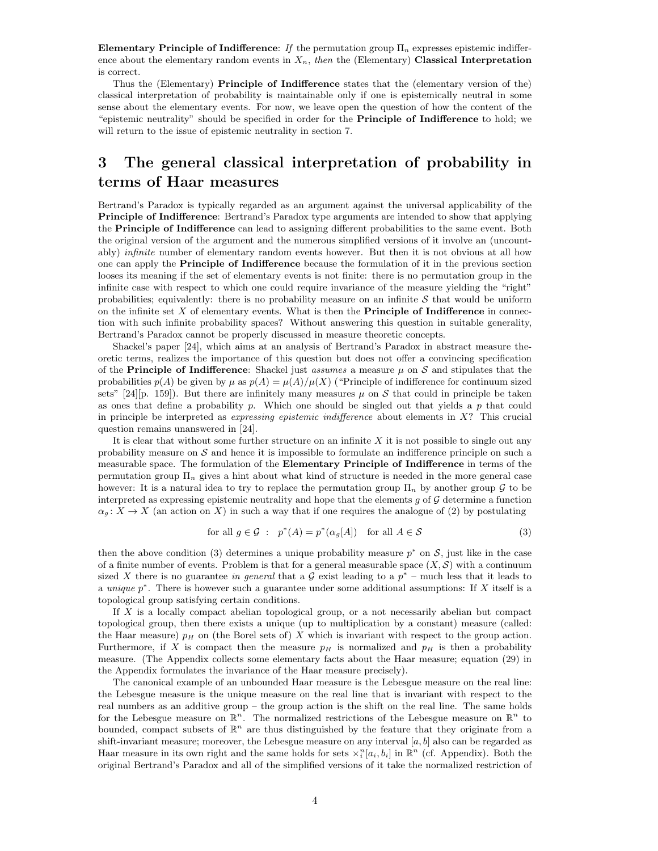Elementary Principle of Indifference: If the permutation group  $\Pi_n$  expresses epistemic indifference about the elementary random events in  $X_n$ , then the (Elementary) Classical Interpretation is correct.

Thus the (Elementary) Principle of Indifference states that the (elementary version of the) classical interpretation of probability is maintainable only if one is epistemically neutral in some sense about the elementary events. For now, we leave open the question of how the content of the "epistemic neutrality" should be specified in order for the Principle of Indifference to hold; we will return to the issue of epistemic neutrality in section 7.

# 3 The general classical interpretation of probability in terms of Haar measures

Bertrand's Paradox is typically regarded as an argument against the universal applicability of the Principle of Indifference: Bertrand's Paradox type arguments are intended to show that applying the Principle of Indifference can lead to assigning different probabilities to the same event. Both the original version of the argument and the numerous simplified versions of it involve an (uncountably) *infinite* number of elementary random events however. But then it is not obvious at all how one can apply the Principle of Indifference because the formulation of it in the previous section looses its meaning if the set of elementary events is not finite: there is no permutation group in the infinite case with respect to which one could require invariance of the measure yielding the "right" probabilities; equivalently: there is no probability measure on an infinite  $S$  that would be uniform on the infinite set  $X$  of elementary events. What is then the **Principle of Indifference** in connection with such infinite probability spaces? Without answering this question in suitable generality, Bertrand's Paradox cannot be properly discussed in measure theoretic concepts.

Shackel's paper [24], which aims at an analysis of Bertrand's Paradox in abstract measure theoretic terms, realizes the importance of this question but does not offer a convincing specification of the **Principle of Indifference**: Shackel just *assumes* a measure  $\mu$  on S and stipulates that the probabilities  $p(A)$  be given by  $\mu$  as  $p(A) = \mu(A)/\mu(X)$  ("Principle of indifference for continuum sized sets" [24][p. 159]). But there are infinitely many measures  $\mu$  on S that could in principle be taken as ones that define a probability p. Which one should be singled out that yields a p that could in principle be interpreted as *expressing epistemic indifference* about elements in  $X$ ? This crucial question remains unanswered in [24].

It is clear that without some further structure on an infinite  $X$  it is not possible to single out any probability measure on  $S$  and hence it is impossible to formulate an indifference principle on such a measurable space. The formulation of the Elementary Principle of Indifference in terms of the permutation group  $\Pi_n$  gives a hint about what kind of structure is needed in the more general case however: It is a natural idea to try to replace the permutation group  $\Pi_n$  by another group  $\mathcal G$  to be interpreted as expressing epistemic neutrality and hope that the elements  $q$  of  $\mathcal G$  determine a function  $\alpha_g: X \to X$  (an action on X) in such a way that if one requires the analogue of (2) by postulating

for all 
$$
g \in \mathcal{G}
$$
:  $p^*(A) = p^*(\alpha_g[A])$  for all  $A \in \mathcal{S}$  (3)

then the above condition (3) determines a unique probability measure  $p^*$  on S, just like in the case of a finite number of events. Problem is that for a general measurable space  $(X, \mathcal{S})$  with a continuum sized X there is no guarantee in general that a  $\mathcal G$  exist leading to a  $p^*$  – much less that it leads to a unique  $p^*$ . There is however such a guarantee under some additional assumptions: If X itself is a topological group satisfying certain conditions.

If X is a locally compact abelian topological group, or a not necessarily abelian but compact topological group, then there exists a unique (up to multiplication by a constant) measure (called: the Haar measure)  $p<sub>H</sub>$  on (the Borel sets of) X which is invariant with respect to the group action. Furthermore, if X is compact then the measure  $p<sub>H</sub>$  is normalized and  $p<sub>H</sub>$  is then a probability measure. (The Appendix collects some elementary facts about the Haar measure; equation (29) in the Appendix formulates the invariance of the Haar measure precisely).

The canonical example of an unbounded Haar measure is the Lebesgue measure on the real line: the Lebesgue measure is the unique measure on the real line that is invariant with respect to the real numbers as an additive group – the group action is the shift on the real line. The same holds for the Lebesgue measure on  $\mathbb{R}^n$ . The normalized restrictions of the Lebesgue measure on  $\mathbb{R}^n$  to bounded, compact subsets of  $\mathbb{R}^n$  are thus distinguished by the feature that they originate from a shift-invariant measure; moreover, the Lebesgue measure on any interval  $[a, b]$  also can be regarded as Haar measure in its own right and the same holds for sets  $\chi_i^n[a_i, b_i]$  in  $\mathbb{R}^n$  (cf. Appendix). Both the original Bertrand's Paradox and all of the simplified versions of it take the normalized restriction of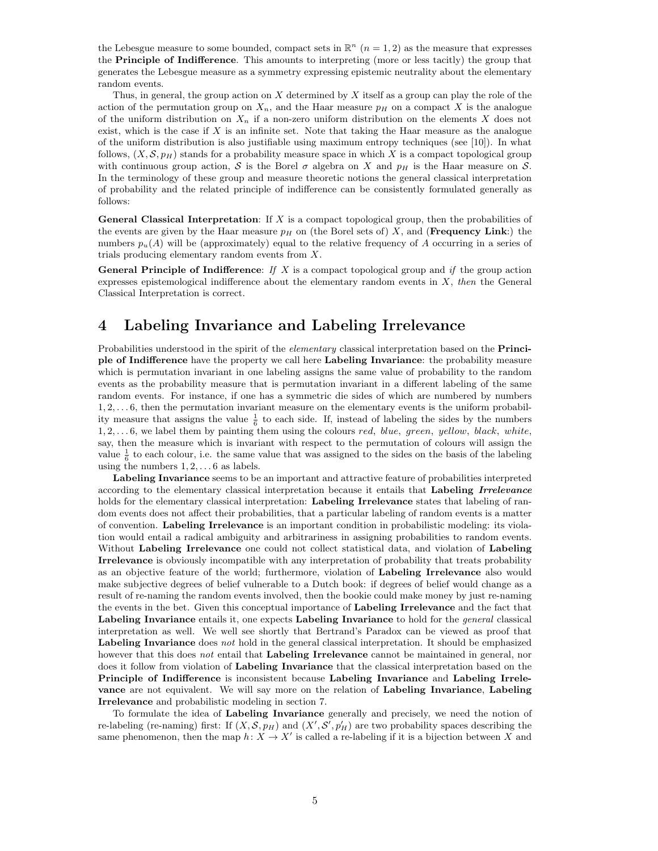the Lebesgue measure to some bounded, compact sets in  $\mathbb{R}^n$   $(n = 1, 2)$  as the measure that expresses the Principle of Indifference. This amounts to interpreting (more or less tacitly) the group that generates the Lebesgue measure as a symmetry expressing epistemic neutrality about the elementary random events.

Thus, in general, the group action on  $X$  determined by  $X$  itself as a group can play the role of the action of the permutation group on  $X_n$ , and the Haar measure  $p<sub>H</sub>$  on a compact X is the analogue of the uniform distribution on  $X_n$  if a non-zero uniform distribution on the elements X does not exist, which is the case if  $X$  is an infinite set. Note that taking the Haar measure as the analogue of the uniform distribution is also justifiable using maximum entropy techniques (see [10]). In what follows,  $(X, \mathcal{S}, p)$  stands for a probability measure space in which X is a compact topological group with continuous group action, S is the Borel  $\sigma$  algebra on X and  $p<sub>H</sub>$  is the Haar measure on S. In the terminology of these group and measure theoretic notions the general classical interpretation of probability and the related principle of indifference can be consistently formulated generally as follows:

**General Classical Interpretation:** If  $X$  is a compact topological group, then the probabilities of the events are given by the Haar measure  $p_H$  on (the Borel sets of) X, and (**Frequency Link**:) the numbers  $p_u(A)$  will be (approximately) equal to the relative frequency of A occurring in a series of trials producing elementary random events from X.

**General Principle of Indifference:** If X is a compact topological group and if the group action expresses epistemological indifference about the elementary random events in  $X$ , then the General Classical Interpretation is correct.

# 4 Labeling Invariance and Labeling Irrelevance

Probabilities understood in the spirit of the *elementary* classical interpretation based on the **Princi**ple of Indifference have the property we call here Labeling Invariance: the probability measure which is permutation invariant in one labeling assigns the same value of probability to the random events as the probability measure that is permutation invariant in a different labeling of the same random events. For instance, if one has a symmetric die sides of which are numbered by numbers 1, 2, . . . 6, then the permutation invariant measure on the elementary events is the uniform probability measure that assigns the value  $\frac{1}{6}$  to each side. If, instead of labeling the sides by the numbers  $1, 2, \ldots, 6$ , we label them by painting them using the colours red, blue, green, yellow, black, white, say, then the measure which is invariant with respect to the permutation of colours will assign the value  $\frac{1}{6}$  to each colour, i.e. the same value that was assigned to the sides on the basis of the labeling using the numbers  $1, 2, \ldots 6$  as labels.

Labeling Invariance seems to be an important and attractive feature of probabilities interpreted according to the elementary classical interpretation because it entails that Labeling Irrelevance holds for the elementary classical interpretation: Labeling Irrelevance states that labeling of random events does not affect their probabilities, that a particular labeling of random events is a matter of convention. Labeling Irrelevance is an important condition in probabilistic modeling: its violation would entail a radical ambiguity and arbitrariness in assigning probabilities to random events. Without Labeling Irrelevance one could not collect statistical data, and violation of Labeling Irrelevance is obviously incompatible with any interpretation of probability that treats probability as an objective feature of the world; furthermore, violation of Labeling Irrelevance also would make subjective degrees of belief vulnerable to a Dutch book: if degrees of belief would change as a result of re-naming the random events involved, then the bookie could make money by just re-naming the events in the bet. Given this conceptual importance of Labeling Irrelevance and the fact that Labeling Invariance entails it, one expects Labeling Invariance to hold for the *general* classical interpretation as well. We well see shortly that Bertrand's Paradox can be viewed as proof that Labeling Invariance does not hold in the general classical interpretation. It should be emphasized however that this does not entail that Labeling Irrelevance cannot be maintained in general, nor does it follow from violation of Labeling Invariance that the classical interpretation based on the Principle of Indifference is inconsistent because Labeling Invariance and Labeling Irrelevance are not equivalent. We will say more on the relation of Labeling Invariance, Labeling Irrelevance and probabilistic modeling in section 7.

To formulate the idea of Labeling Invariance generally and precisely, we need the notion of re-labeling (re-naming) first: If  $(X, \mathcal{S}, p_H)$  and  $(X', \mathcal{S}', p'_H)$  are two probability spaces describing the same phenomenon, then the map  $h: X \to X'$  is called a re-labeling if it is a bijection between X and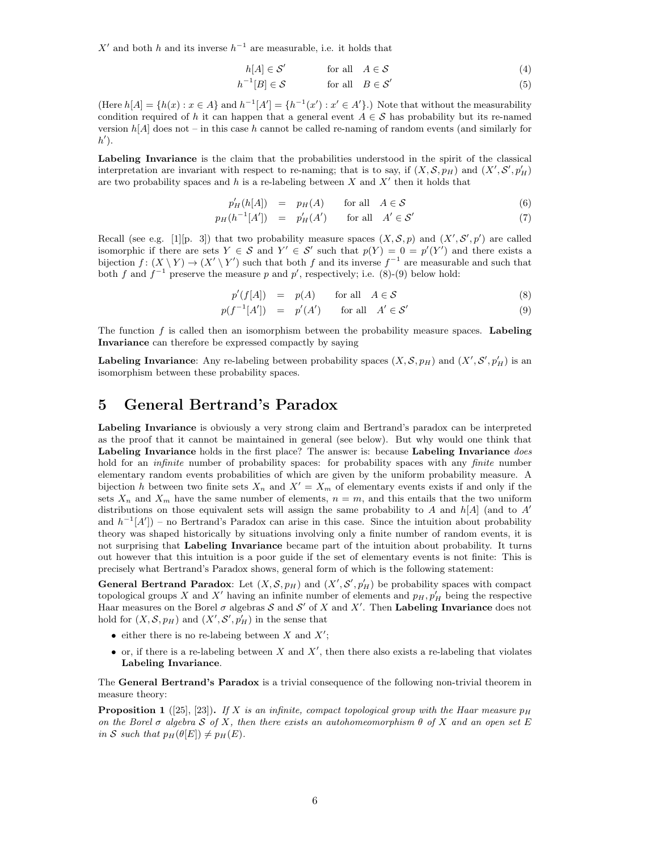X' and both h and its inverse  $h^{-1}$  are measurable, i.e. it holds that

$$
h[A] \in \mathcal{S}' \qquad \text{for all} \quad A \in \mathcal{S} \tag{4}
$$

$$
h^{-1}[B] \in \mathcal{S} \qquad \text{for all} \quad B \in \mathcal{S}' \tag{5}
$$

(Here  $h[A] = \{h(x) : x \in A\}$  and  $h^{-1}[A'] = \{h^{-1}(x') : x' \in A'\}$ .) Note that without the measurability condition required of h it can happen that a general event  $A \in \mathcal{S}$  has probability but its re-named version  $h[A]$  does not – in this case h cannot be called re-naming of random events (and similarly for  $h'$ ).

Labeling Invariance is the claim that the probabilities understood in the spirit of the classical interpretation are invariant with respect to re-naming; that is to say, if  $(X, \mathcal{S}, p_H)$  and  $(X', \mathcal{S}', p'_H)$ are two probability spaces and h is a re-labeling between X and  $X'$  then it holds that

$$
p'_H(h[A]) = p_H(A) \quad \text{for all} \quad A \in \mathcal{S} \tag{6}
$$

$$
p_H(h^{-1}[A']) = p'_H(A') \qquad \text{for all} \quad A' \in \mathcal{S}' \tag{7}
$$

Recall (see e.g. [1][p. 3]) that two probability measure spaces  $(X, \mathcal{S}, p)$  and  $(X', \mathcal{S}', p')$  are called isomorphic if there are sets  $Y \in \mathcal{S}$  and  $Y' \in \mathcal{S}'$  such that  $p(Y) = 0 = p'(Y')$  and there exists a bijection  $f: (X \ Y) \to (X' \ Y')$  such that both f and its inverse  $f^{-1}$  are measurable and such that both f and  $f^{-1}$  preserve the measure p and p', respectively; i.e. (8)-(9) below hold:

$$
p'(f[A]) = p(A) \quad \text{for all} \quad A \in \mathcal{S} \tag{8}
$$

$$
p(f^{-1}[A']) = p'(A') \quad \text{for all} \quad A' \in \mathcal{S}' \tag{9}
$$

The function  $f$  is called then an isomorphism between the probability measure spaces. Labeling Invariance can therefore be expressed compactly by saying

**Labeling Invariance**: Any re-labeling between probability spaces  $(X, \mathcal{S}, p_H)$  and  $(X', \mathcal{S}', p'_H)$  is an isomorphism between these probability spaces.

## 5 General Bertrand's Paradox

Labeling Invariance is obviously a very strong claim and Bertrand's paradox can be interpreted as the proof that it cannot be maintained in general (see below). But why would one think that Labeling Invariance holds in the first place? The answer is: because Labeling Invariance *does* hold for an *infinite* number of probability spaces: for probability spaces with any *finite* number elementary random events probabilities of which are given by the uniform probability measure. A bijection h between two finite sets  $X_n$  and  $X' = X_m$  of elementary events exists if and only if the sets  $X_n$  and  $X_m$  have the same number of elements,  $n = m$ , and this entails that the two uniform distributions on those equivalent sets will assign the same probability to A and  $h[A]$  (and to A' and  $h^{-1}[A']$  – no Bertrand's Paradox can arise in this case. Since the intuition about probability theory was shaped historically by situations involving only a finite number of random events, it is not surprising that Labeling Invariance became part of the intuition about probability. It turns out however that this intuition is a poor guide if the set of elementary events is not finite: This is precisely what Bertrand's Paradox shows, general form of which is the following statement:

**General Bertrand Paradox**: Let  $(X, \mathcal{S}, p_H)$  and  $(X', \mathcal{S}', p'_H)$  be probability spaces with compact topological groups X and X' having an infinite number of elements and  $p_H$ ,  $p'_H$  being the respective Haar measures on the Borel  $\sigma$  algebras S and S' of X and X'. Then Labeling Invariance does not hold for  $(X, \mathcal{S}, p_H)$  and  $(X', \mathcal{S}', p'_H)$  in the sense that

- either there is no re-labeing between X and  $X'$ ;
- $\bullet$  or, if there is a re-labeling between X and X', then there also exists a re-labeling that violates Labeling Invariance.

The General Bertrand's Paradox is a trivial consequence of the following non-trivial theorem in measure theory:

**Proposition 1** ([25], [23]). If X is an infinite, compact topological group with the Haar measure  $p_H$ on the Borel  $\sigma$  algebra S of X, then there exists an autohomeomorphism  $\theta$  of X and an open set E in S such that  $p_H(\theta[E]) \neq p_H(E)$ .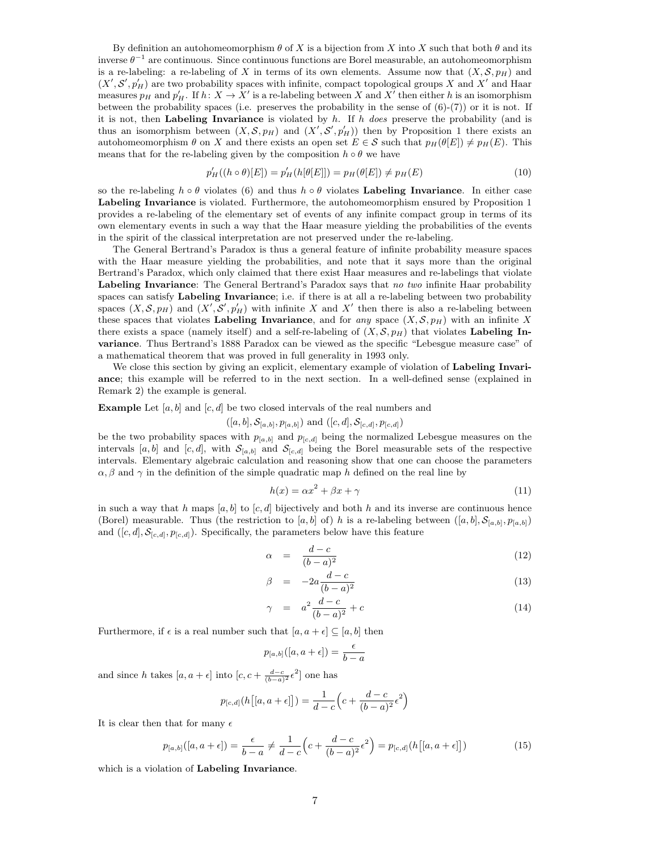By definition an autohomeomorphism  $\theta$  of X is a bijection from X into X such that both  $\theta$  and its inverse  $\theta^{-1}$  are continuous. Since continuous functions are Borel measurable, an autohomeomorphism is a re-labeling: a re-labeling of X in terms of its own elements. Assume now that  $(X, \mathcal{S}, p_H)$  and  $(X', S', p'_H)$  are two probability spaces with infinite, compact topological groups X and X' and Haar measures  $p_H$  and  $p'_H$ . If  $h: X \to X'$  is a re-labeling between X and X' then either h is an isomorphism between the probability spaces (i.e. preserves the probability in the sense of  $(6)-(7)$ ) or it is not. If it is not, then Labeling Invariance is violated by  $h$ . If  $h$  does preserve the probability (and is thus an isomorphism between  $(X, \mathcal{S}, p_H)$  and  $(X', \mathcal{S}', p'_H)$  then by Proposition 1 there exists an autohomeomorphism  $\theta$  on X and there exists an open set  $E \in \mathcal{S}$  such that  $p_H(\theta|E|) \neq p_H(E)$ . This means that for the re-labeling given by the composition  $h \circ \theta$  we have

$$
p'_{H}((h \circ \theta)[E]) = p'_{H}(h[\theta[E]]) = p_{H}(\theta[E]) \neq p_{H}(E)
$$
\n(10)

so the re-labeling  $h \circ \theta$  violates (6) and thus  $h \circ \theta$  violates Labeling Invariance. In either case Labeling Invariance is violated. Furthermore, the autohomeomorphism ensured by Proposition 1 provides a re-labeling of the elementary set of events of any infinite compact group in terms of its own elementary events in such a way that the Haar measure yielding the probabilities of the events in the spirit of the classical interpretation are not preserved under the re-labeling.

The General Bertrand's Paradox is thus a general feature of infinite probability measure spaces with the Haar measure yielding the probabilities, and note that it says more than the original Bertrand's Paradox, which only claimed that there exist Haar measures and re-labelings that violate Labeling Invariance: The General Bertrand's Paradox says that no two infinite Haar probability spaces can satisfy Labeling Invariance; i.e. if there is at all a re-labeling between two probability spaces  $(X, \mathcal{S}, p_H)$  and  $(X', \mathcal{S}', p'_H)$  with infinite X and X' then there is also a re-labeling between these spaces that violates Labeling Invariance, and for any space  $(X, \mathcal{S}, p_H)$  with an infinite X there exists a space (namely itself) and a self-re-labeling of  $(X, \mathcal{S}, p_H)$  that violates Labeling Invariance. Thus Bertrand's 1888 Paradox can be viewed as the specific "Lebesgue measure case" of a mathematical theorem that was proved in full generality in 1993 only.

We close this section by giving an explicit, elementary example of violation of Labeling Invariance; this example will be referred to in the next section. In a well-defined sense (explained in Remark 2) the example is general.

### **Example** Let  $[a, b]$  and  $[c, d]$  be two closed intervals of the real numbers and

$$
((a, b], S_{[a, b]}, p_{[a, b]})
$$
 and  $((c, d], S_{[c, d]}, p_{[c, d]})$ 

be the two probability spaces with  $p_{[a,b]}$  and  $p_{[c,d]}$  being the normalized Lebesgue measures on the intervals [a, b] and [c, d], with  $S_{[a,b]}$  and  $S_{[c,d]}$  being the Borel measurable sets of the respective intervals. Elementary algebraic calculation and reasoning show that one can choose the parameters  $\alpha$ ,  $\beta$  and  $\gamma$  in the definition of the simple quadratic map h defined on the real line by

$$
h(x) = \alpha x^2 + \beta x + \gamma \tag{11}
$$

in such a way that h maps  $[a, b]$  to  $[c, d]$  bijectively and both h and its inverse are continuous hence (Borel) measurable. Thus (the restriction to [a, b] of) h is a re-labeling between  $([a, b], S_{[a, b]}, p_{[a, b]})$ and  $([c, d], \mathcal{S}_{[c,d]}, p_{[c,d]})$ . Specifically, the parameters below have this feature

$$
\alpha = \frac{d-c}{(b-a)^2} \tag{12}
$$

$$
\beta = -2a \frac{d-c}{(b-a)^2} \tag{13}
$$

$$
\gamma = a^2 \frac{d-c}{(b-a)^2} + c \tag{14}
$$

Furthermore, if  $\epsilon$  is a real number such that  $[a, a + \epsilon] \subseteq [a, b]$  then

$$
p_{[a,b]}([a,a+\epsilon])=\frac{\epsilon}{b-a}
$$

and since h takes  $[a, a + \epsilon]$  into  $[c, c + \frac{d-c}{(b-a)^2} \epsilon^2]$  one has

$$
p_{[c,d]}(h[[a,a+\epsilon]]) = \frac{1}{d-c} \left( c + \frac{d-c}{(b-a)^2} \epsilon^2 \right)
$$

It is clear then that for many  $\epsilon$ 

$$
p_{[a,b]}([a,a+\epsilon]) = \frac{\epsilon}{b-a} \neq \frac{1}{d-c} \left( c + \frac{d-c}{(b-a)^2} \epsilon^2 \right) = p_{[c,d]}(h[[a,a+\epsilon]]) \tag{15}
$$

which is a violation of Labeling Invariance.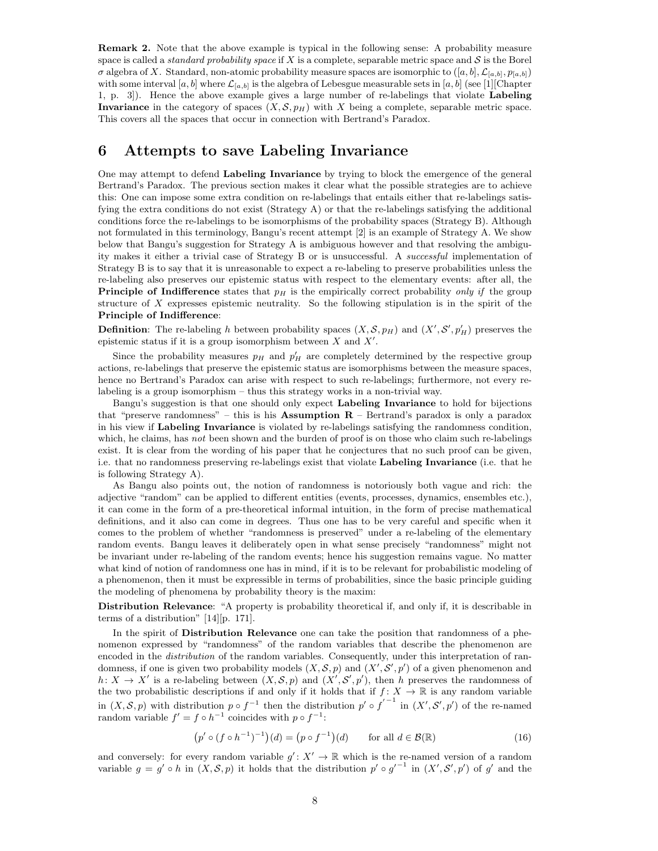Remark 2. Note that the above example is typical in the following sense: A probability measure space is called a *standard probability space* if X is a complete, separable metric space and  $S$  is the Borel  $\sigma$  algebra of X. Standard, non-atomic probability measure spaces are isomorphic to  $([a, b], \mathcal{L}_{[a, b]}, p_{[a, b]})$ with some interval  $[a, b]$  where  $\mathcal{L}_{[a, b]}$  is the algebra of Lebesgue measurable sets in  $[a, b]$  (see [1][Chapter 1, p. 3]). Hence the above example gives a large number of re-labelings that violate Labeling Invariance in the category of spaces  $(X, \mathcal{S}, p_H)$  with X being a complete, separable metric space. This covers all the spaces that occur in connection with Bertrand's Paradox.

## 6 Attempts to save Labeling Invariance

One may attempt to defend Labeling Invariance by trying to block the emergence of the general Bertrand's Paradox. The previous section makes it clear what the possible strategies are to achieve this: One can impose some extra condition on re-labelings that entails either that re-labelings satisfying the extra conditions do not exist (Strategy A) or that the re-labelings satisfying the additional conditions force the re-labelings to be isomorphisms of the probability spaces (Strategy B). Although not formulated in this terminology, Bangu's recent attempt [2] is an example of Strategy A. We show below that Bangu's suggestion for Strategy A is ambiguous however and that resolving the ambiguity makes it either a trivial case of Strategy B or is unsuccessful. A successful implementation of Strategy B is to say that it is unreasonable to expect a re-labeling to preserve probabilities unless the re-labeling also preserves our epistemic status with respect to the elementary events: after all, the **Principle of Indifference** states that  $p<sub>H</sub>$  is the empirically correct probability *only if* the group structure of X expresses epistemic neutrality. So the following stipulation is in the spirit of the Principle of Indifference:

**Definition**: The re-labeling h between probability spaces  $(X, \mathcal{S}, p_H)$  and  $(X', \mathcal{S}', p'_H)$  preserves the epistemic status if it is a group isomorphism between  $X$  and  $X'$ .

Since the probability measures  $p_H$  and  $p'_H$  are completely determined by the respective group actions, re-labelings that preserve the epistemic status are isomorphisms between the measure spaces, hence no Bertrand's Paradox can arise with respect to such re-labelings; furthermore, not every relabeling is a group isomorphism – thus this strategy works in a non-trivial way.

Bangu's suggestion is that one should only expect Labeling Invariance to hold for bijections that "preserve randomness" – this is his Assumption  $R$  – Bertrand's paradox is only a paradox in his view if Labeling Invariance is violated by re-labelings satisfying the randomness condition, which, he claims, has not been shown and the burden of proof is on those who claim such re-labelings exist. It is clear from the wording of his paper that he conjectures that no such proof can be given, i.e. that no randomness preserving re-labelings exist that violate Labeling Invariance (i.e. that he is following Strategy A).

As Bangu also points out, the notion of randomness is notoriously both vague and rich: the adjective "random" can be applied to different entities (events, processes, dynamics, ensembles etc.), it can come in the form of a pre-theoretical informal intuition, in the form of precise mathematical definitions, and it also can come in degrees. Thus one has to be very careful and specific when it comes to the problem of whether "randomness is preserved" under a re-labeling of the elementary random events. Bangu leaves it deliberately open in what sense precisely "randomness" might not be invariant under re-labeling of the random events; hence his suggestion remains vague. No matter what kind of notion of randomness one has in mind, if it is to be relevant for probabilistic modeling of a phenomenon, then it must be expressible in terms of probabilities, since the basic principle guiding the modeling of phenomena by probability theory is the maxim:

Distribution Relevance: "A property is probability theoretical if, and only if, it is describable in terms of a distribution" [14][p. 171].

In the spirit of **Distribution Relevance** one can take the position that randomness of a phenomenon expressed by "randomness" of the random variables that describe the phenomenon are encoded in the distribution of the random variables. Consequently, under this interpretation of randomness, if one is given two probability models  $(X, \mathcal{S}, p)$  and  $(X', \mathcal{S}', p')$  of a given phenomenon and  $h: X \to X'$  is a re-labeling between  $(X, \mathcal{S}, p)$  and  $(X', \mathcal{S}', p')$ , then h preserves the randomness of the two probabilistic descriptions if and only if it holds that if  $f: X \to \mathbb{R}$  is any random variable in  $(X, \mathcal{S}, p)$  with distribution  $p \circ f^{-1}$  then the distribution  $p' \circ f'^{-1}$  in  $(X', \mathcal{S}', p')$  of the re-named random variable  $f' = f \circ h^{-1}$  coincides with  $p \circ f^{-1}$ :

$$
\left(p' \circ (f \circ h^{-1})^{-1}\right)(d) = \left(p \circ f^{-1}\right)(d) \qquad \text{for all } d \in \mathcal{B}(\mathbb{R})
$$
 (16)

and conversely: for every random variable  $g' : X' \to \mathbb{R}$  which is the re-named version of a random variable  $g = g' \circ h$  in  $(X, \mathcal{S}, p)$  it holds that the distribution  $p' \circ g'^{-1}$  in  $(X', \mathcal{S}', p')$  of g' and the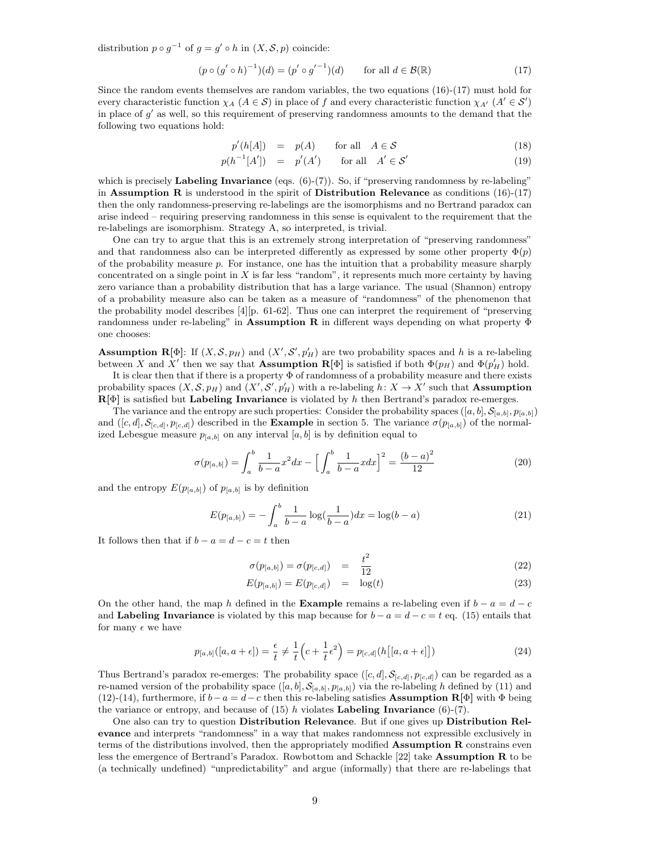distribution  $p \circ g^{-1}$  of  $g = g' \circ h$  in  $(X, \mathcal{S}, p)$  coincide:

$$
(p \circ (g' \circ h)^{-1})(d) = (p' \circ g'^{-1})(d) \quad \text{for all } d \in \mathcal{B}(\mathbb{R})
$$
 (17)

Since the random events themselves are random variables, the two equations (16)-(17) must hold for every characteristic function  $\chi_A$   $(A \in S)$  in place of f and every characteristic function  $\chi_{A'}$   $(A' \in S')$ in place of  $g'$  as well, so this requirement of preserving randomness amounts to the demand that the following two equations hold:

$$
p'(h[A]) = p(A) \quad \text{for all} \quad A \in \mathcal{S} \tag{18}
$$

$$
p(h^{-1}[A']) = p'(A') \quad \text{for all} \quad A' \in \mathcal{S}' \tag{19}
$$

which is precisely **Labeling Invariance** (eqs.  $(6)-(7)$ ). So, if "preserving randomness by re-labeling" in Assumption R is understood in the spirit of Distribution Relevance as conditions  $(16)-(17)$ then the only randomness-preserving re-labelings are the isomorphisms and no Bertrand paradox can arise indeed – requiring preserving randomness in this sense is equivalent to the requirement that the re-labelings are isomorphism. Strategy A, so interpreted, is trivial.

One can try to argue that this is an extremely strong interpretation of "preserving randomness" and that randomness also can be interpreted differently as expressed by some other property  $\Phi(p)$ of the probability measure p. For instance, one has the intuition that a probability measure sharply concentrated on a single point in  $X$  is far less "random", it represents much more certainty by having zero variance than a probability distribution that has a large variance. The usual (Shannon) entropy of a probability measure also can be taken as a measure of "randomness" of the phenomenon that the probability model describes [4][p. 61-62]. Thus one can interpret the requirement of "preserving randomness under re-labeling" in **Assumption R** in different ways depending on what property  $\Phi$ one chooses:

**Assumption R**[ $\Phi$ ]: If  $(X, \mathcal{S}, p_H)$  and  $(X', \mathcal{S}', p'_H)$  are two probability spaces and h is a re-labeling between X and X' then we say that **Assumption R**[ $\Phi$ ] is satisfied if both  $\Phi(p_H)$  and  $\Phi(p'_H)$  hold.

It is clear then that if there is a property Φ of randomness of a probability measure and there exists probability spaces  $(X, \mathcal{S}, p_H)$  and  $(X', \mathcal{S}', p'_H)$  with a re-labeling  $h: X \to X'$  such that **Assumption**  ${\bf R}[\Phi]$  is satisfied but Labeling Invariance is violated by h then Bertrand's paradox re-emerges.

The variance and the entropy are such properties: Consider the probability spaces  $([a, b], \mathcal{S}_{[a, b]}, p_{[a, b]})$ and  $([c, d], \mathcal{S}_{[c,d]}, p_{[c,d]})$  described in the **Example** in section 5. The variance  $\sigma(p_{[a,b]})$  of the normalized Lebesgue measure  $p_{[a,b]}$  on any interval  $[a,b]$  is by definition equal to

$$
\sigma(p_{[a,b]}) = \int_{a}^{b} \frac{1}{b-a} x^2 dx - \left[ \int_{a}^{b} \frac{1}{b-a} x dx \right]^2 = \frac{(b-a)^2}{12} \tag{20}
$$

and the entropy  $E(p_{[a,b]})$  of  $p_{[a,b]}$  is by definition

$$
E(p_{[a,b]}) = -\int_{a}^{b} \frac{1}{b-a} \log(\frac{1}{b-a}) dx = \log(b-a)
$$
 (21)

It follows then that if  $b - a = d - c = t$  then

$$
\sigma(p_{[a,b]}) = \sigma(p_{[c,d]}) = \frac{t^2}{12}
$$
\n(22)

$$
E(p_{[a,b]}) = E(p_{[c,d]}) = \log(t)
$$
\n(23)

On the other hand, the map h defined in the Example remains a re-labeling even if  $b - a = d - c$ and Labeling Invariance is violated by this map because for  $b - a = d - c = t$  eq. (15) entails that for many  $\epsilon$  we have

$$
p_{[a,b]}([a,a+\epsilon]) = \frac{\epsilon}{t} \neq \frac{1}{t} \left( c + \frac{1}{t} \epsilon^2 \right) = p_{[c,d]}(h[[a,a+\epsilon]]) \tag{24}
$$

Thus Bertrand's paradox re-emerges: The probability space  $([c, d], S_{[c,d]}, p_{[c,d]})$  can be regarded as a re-named version of the probability space  $([a, b], \mathcal{S}_{[a, b]}, p_{[a, b]})$  via the re-labeling h defined by (11) and (12)-(14), furthermore, if  $b-a=d-c$  then this re-labeling satisfies **Assumption R**[ $\Phi$ ] with  $\Phi$  being the variance or entropy, and because of  $(15)$  h violates Labeling Invariance  $(6)-(7)$ .

One also can try to question Distribution Relevance. But if one gives up Distribution Relevance and interprets "randomness" in a way that makes randomness not expressible exclusively in terms of the distributions involved, then the appropriately modified Assumption R constrains even less the emergence of Bertrand's Paradox. Rowbottom and Schackle [22] take Assumption R to be (a technically undefined) "unpredictability" and argue (informally) that there are re-labelings that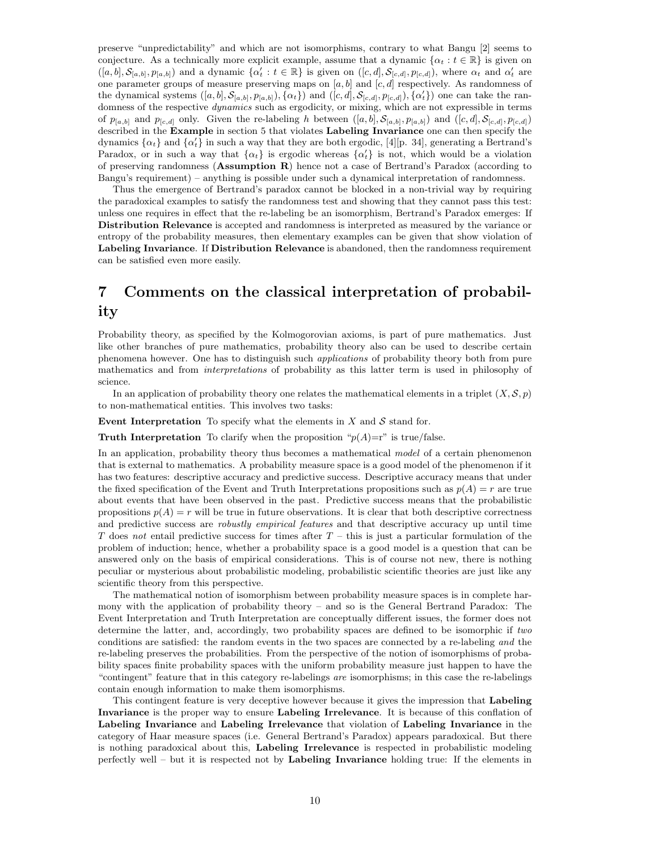preserve "unpredictability" and which are not isomorphisms, contrary to what Bangu [2] seems to conjecture. As a technically more explicit example, assume that a dynamic  $\{\alpha_t : t \in \mathbb{R}\}\$  is given on  $([a, b], \mathcal{S}_{[a,b]}, p_{[a,b]})$  and a dynamic  $\{\alpha'_t : t \in \mathbb{R}\}\$ is given on  $([c, d], \mathcal{S}_{[c,d]}, p_{[c,d]})$ , where  $\alpha_t$  and  $\alpha'_t$  are one parameter groups of measure preserving maps on  $[a, b]$  and  $[c, d]$  respectively. As randomness of the dynamical systems  $([a, b], \mathcal{S}_{[a,b]}, p_{[a,b]}), {\alpha_t}$  and  $([c, d], \mathcal{S}_{[c,d]}, p_{[c,d]}), {\alpha'_t}$  one can take the randomness of the respective *dynamics* such as ergodicity, or mixing, which are not expressible in terms of  $p_{[a,b]}$  and  $p_{[c,d]}$  only. Given the re-labeling h between  $([a,b], \mathcal{S}_{[a,b]}, p_{[a,b]})$  and  $([c,d], \mathcal{S}_{[c,d]}, p_{[c,d]})$ described in the Example in section 5 that violates Labeling Invariance one can then specify the dynamics  $\{\alpha_t\}$  and  $\{\alpha'_t\}$  in such a way that they are both ergodic, [4][p. 34], generating a Bertrand's Paradox, or in such a way that  $\{\alpha_t\}$  is ergodic whereas  $\{\alpha_t'\}$  is not, which would be a violation of preserving randomness (Assumption R) hence not a case of Bertrand's Paradox (according to Bangu's requirement) – anything is possible under such a dynamical interpretation of randomness.

Thus the emergence of Bertrand's paradox cannot be blocked in a non-trivial way by requiring the paradoxical examples to satisfy the randomness test and showing that they cannot pass this test: unless one requires in effect that the re-labeling be an isomorphism, Bertrand's Paradox emerges: If Distribution Relevance is accepted and randomness is interpreted as measured by the variance or entropy of the probability measures, then elementary examples can be given that show violation of Labeling Invariance. If Distribution Relevance is abandoned, then the randomness requirement can be satisfied even more easily.

# 7 Comments on the classical interpretation of probability

Probability theory, as specified by the Kolmogorovian axioms, is part of pure mathematics. Just like other branches of pure mathematics, probability theory also can be used to describe certain phenomena however. One has to distinguish such applications of probability theory both from pure mathematics and from interpretations of probability as this latter term is used in philosophy of science.

In an application of probability theory one relates the mathematical elements in a triplet  $(X, \mathcal{S}, p)$ to non-mathematical entities. This involves two tasks:

Event Interpretation To specify what the elements in  $X$  and  $S$  stand for.

**Truth Interpretation** To clarify when the proposition " $p(A)=r$ " is true/false.

In an application, probability theory thus becomes a mathematical model of a certain phenomenon that is external to mathematics. A probability measure space is a good model of the phenomenon if it has two features: descriptive accuracy and predictive success. Descriptive accuracy means that under the fixed specification of the Event and Truth Interpretations propositions such as  $p(A) = r$  are true about events that have been observed in the past. Predictive success means that the probabilistic propositions  $p(A) = r$  will be true in future observations. It is clear that both descriptive correctness and predictive success are *robustly empirical features* and that descriptive accuracy up until time T does not entail predictive success for times after  $T -$  this is just a particular formulation of the problem of induction; hence, whether a probability space is a good model is a question that can be answered only on the basis of empirical considerations. This is of course not new, there is nothing peculiar or mysterious about probabilistic modeling, probabilistic scientific theories are just like any scientific theory from this perspective.

The mathematical notion of isomorphism between probability measure spaces is in complete harmony with the application of probability theory – and so is the General Bertrand Paradox: The Event Interpretation and Truth Interpretation are conceptually different issues, the former does not determine the latter, and, accordingly, two probability spaces are defined to be isomorphic if two conditions are satisfied: the random events in the two spaces are connected by a re-labeling and the re-labeling preserves the probabilities. From the perspective of the notion of isomorphisms of probability spaces finite probability spaces with the uniform probability measure just happen to have the "contingent" feature that in this category re-labelings are isomorphisms; in this case the re-labelings contain enough information to make them isomorphisms.

This contingent feature is very deceptive however because it gives the impression that **Labeling** Invariance is the proper way to ensure Labeling Irrelevance. It is because of this conflation of Labeling Invariance and Labeling Irrelevance that violation of Labeling Invariance in the category of Haar measure spaces (i.e. General Bertrand's Paradox) appears paradoxical. But there is nothing paradoxical about this, Labeling Irrelevance is respected in probabilistic modeling perfectly well – but it is respected not by Labeling Invariance holding true: If the elements in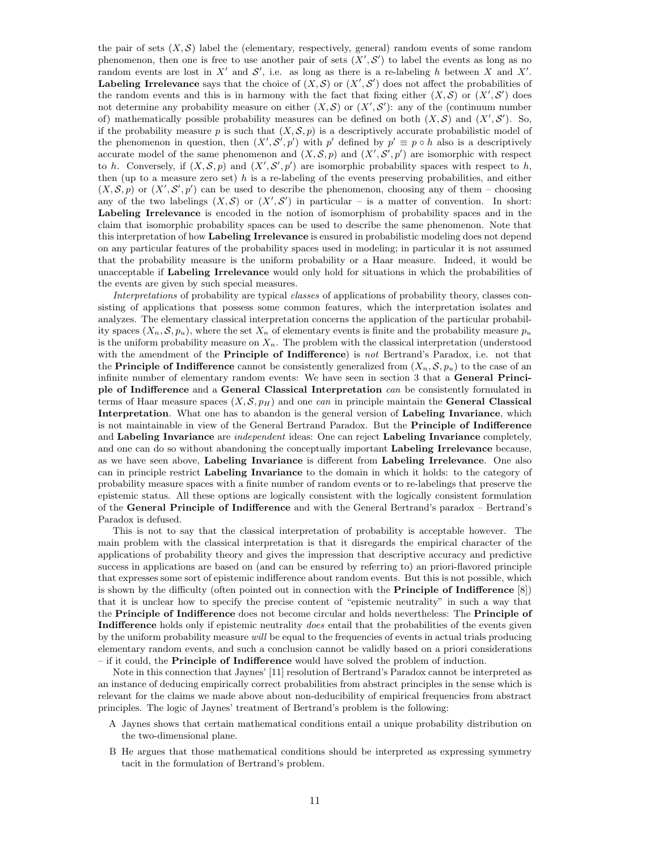the pair of sets  $(X, \mathcal{S})$  label the (elementary, respectively, general) random events of some random phenomenon, then one is free to use another pair of sets  $(X', S')$  to label the events as long as no random events are lost in X' and  $\mathcal{S}'$ , i.e. as long as there is a re-labeling h between X and X'. **Labeling Irrelevance** says that the choice of  $(X, \mathcal{S})$  or  $(X', \mathcal{S}')$  does not affect the probabilities of the random events and this is in harmony with the fact that fixing either  $(X, \mathcal{S})$  or  $(X', \mathcal{S}')$  does not determine any probability measure on either  $(X, \mathcal{S})$  or  $(X', \mathcal{S}')$ : any of the (continuum number of) mathematically possible probability measures can be defined on both  $(X, \mathcal{S})$  and  $(X', \mathcal{S}')$ . So, if the probability measure p is such that  $(X, \mathcal{S}, p)$  is a descriptively accurate probabilistic model of the phenomenon in question, then  $(X', S', p')$  with p' defined by  $p' \equiv p \circ h$  also is a descriptively accurate model of the same phenomenon and  $(X, \mathcal{S}, p)$  and  $(X', \mathcal{S}', p')$  are isomorphic with respect to h. Conversely, if  $(X, \mathcal{S}, p)$  and  $(X', \mathcal{S}', p')$  are isomorphic probability spaces with respect to h, then (up to a measure zero set)  $h$  is a re-labeling of the events preserving probabilities, and either  $(X, \mathcal{S}, p)$  or  $(X', \mathcal{S}', p')$  can be used to describe the phenomenon, choosing any of them – choosing any of the two labelings  $(X, \mathcal{S})$  or  $(X', \mathcal{S}')$  in particular – is a matter of convention. In short: Labeling Irrelevance is encoded in the notion of isomorphism of probability spaces and in the claim that isomorphic probability spaces can be used to describe the same phenomenon. Note that this interpretation of how Labeling Irrelevance is ensured in probabilistic modeling does not depend on any particular features of the probability spaces used in modeling; in particular it is not assumed that the probability measure is the uniform probability or a Haar measure. Indeed, it would be unacceptable if Labeling Irrelevance would only hold for situations in which the probabilities of the events are given by such special measures.

Interpretations of probability are typical classes of applications of probability theory, classes consisting of applications that possess some common features, which the interpretation isolates and analyzes. The elementary classical interpretation concerns the application of the particular probability spaces  $(X_n, \mathcal{S}, p_u)$ , where the set  $X_n$  of elementary events is finite and the probability measure  $p_u$ is the uniform probability measure on  $X_n$ . The problem with the classical interpretation (understood with the amendment of the Principle of Indifference) is not Bertrand's Paradox, i.e. not that the **Principle of Indifference** cannot be consistently generalized from  $(X_n, \mathcal{S}, p_u)$  to the case of an infinite number of elementary random events: We have seen in section 3 that a General Principle of Indifference and a General Classical Interpretation can be consistently formulated in terms of Haar measure spaces  $(X, \mathcal{S}, p_H)$  and one *can* in principle maintain the **General Classical** Interpretation. What one has to abandon is the general version of Labeling Invariance, which is not maintainable in view of the General Bertrand Paradox. But the Principle of Indifference and Labeling Invariance are *independent* ideas: One can reject Labeling Invariance completely, and one can do so without abandoning the conceptually important Labeling Irrelevance because, as we have seen above, Labeling Invariance is different from Labeling Irrelevance. One also can in principle restrict Labeling Invariance to the domain in which it holds: to the category of probability measure spaces with a finite number of random events or to re-labelings that preserve the epistemic status. All these options are logically consistent with the logically consistent formulation of the General Principle of Indifference and with the General Bertrand's paradox – Bertrand's Paradox is defused.

This is not to say that the classical interpretation of probability is acceptable however. The main problem with the classical interpretation is that it disregards the empirical character of the applications of probability theory and gives the impression that descriptive accuracy and predictive success in applications are based on (and can be ensured by referring to) an priori-flavored principle that expresses some sort of epistemic indifference about random events. But this is not possible, which is shown by the difficulty (often pointed out in connection with the Principle of Indifference [8]) that it is unclear how to specify the precise content of "epistemic neutrality" in such a way that the Principle of Indifference does not become circular and holds nevertheless: The Principle of Indifference holds only if epistemic neutrality does entail that the probabilities of the events given by the uniform probability measure will be equal to the frequencies of events in actual trials producing elementary random events, and such a conclusion cannot be validly based on a priori considerations – if it could, the Principle of Indifference would have solved the problem of induction.

Note in this connection that Jaynes' [11] resolution of Bertrand's Paradox cannot be interpreted as an instance of deducing empirically correct probabilities from abstract principles in the sense which is relevant for the claims we made above about non-deducibility of empirical frequencies from abstract principles. The logic of Jaynes' treatment of Bertrand's problem is the following:

- A Jaynes shows that certain mathematical conditions entail a unique probability distribution on the two-dimensional plane.
- B He argues that those mathematical conditions should be interpreted as expressing symmetry tacit in the formulation of Bertrand's problem.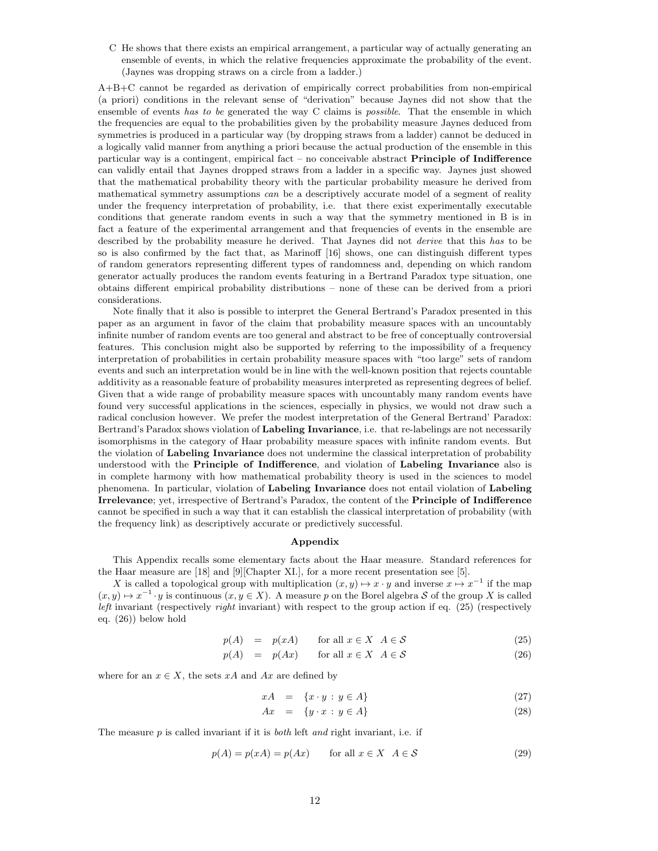C He shows that there exists an empirical arrangement, a particular way of actually generating an ensemble of events, in which the relative frequencies approximate the probability of the event. (Jaynes was dropping straws on a circle from a ladder.)

A+B+C cannot be regarded as derivation of empirically correct probabilities from non-empirical (a priori) conditions in the relevant sense of "derivation" because Jaynes did not show that the ensemble of events has to be generated the way C claims is possible. That the ensemble in which the frequencies are equal to the probabilities given by the probability measure Jaynes deduced from symmetries is produced in a particular way (by dropping straws from a ladder) cannot be deduced in a logically valid manner from anything a priori because the actual production of the ensemble in this particular way is a contingent, empirical fact – no conceivable abstract **Principle of Indifference** can validly entail that Jaynes dropped straws from a ladder in a specific way. Jaynes just showed that the mathematical probability theory with the particular probability measure he derived from mathematical symmetry assumptions can be a descriptively accurate model of a segment of reality under the frequency interpretation of probability, i.e. that there exist experimentally executable conditions that generate random events in such a way that the symmetry mentioned in B is in fact a feature of the experimental arrangement and that frequencies of events in the ensemble are described by the probability measure he derived. That Jaynes did not derive that this has to be so is also confirmed by the fact that, as Marinoff [16] shows, one can distinguish different types of random generators representing different types of randomness and, depending on which random generator actually produces the random events featuring in a Bertrand Paradox type situation, one obtains different empirical probability distributions – none of these can be derived from a priori considerations.

Note finally that it also is possible to interpret the General Bertrand's Paradox presented in this paper as an argument in favor of the claim that probability measure spaces with an uncountably infinite number of random events are too general and abstract to be free of conceptually controversial features. This conclusion might also be supported by referring to the impossibility of a frequency interpretation of probabilities in certain probability measure spaces with "too large" sets of random events and such an interpretation would be in line with the well-known position that rejects countable additivity as a reasonable feature of probability measures interpreted as representing degrees of belief. Given that a wide range of probability measure spaces with uncountably many random events have found very successful applications in the sciences, especially in physics, we would not draw such a radical conclusion however. We prefer the modest interpretation of the General Bertrand' Paradox: Bertrand's Paradox shows violation of Labeling Invariance, i.e. that re-labelings are not necessarily isomorphisms in the category of Haar probability measure spaces with infinite random events. But the violation of Labeling Invariance does not undermine the classical interpretation of probability understood with the Principle of Indifference, and violation of Labeling Invariance also is in complete harmony with how mathematical probability theory is used in the sciences to model phenomena. In particular, violation of Labeling Invariance does not entail violation of Labeling Irrelevance; yet, irrespective of Bertrand's Paradox, the content of the Principle of Indifference cannot be specified in such a way that it can establish the classical interpretation of probability (with the frequency link) as descriptively accurate or predictively successful.

#### Appendix

This Appendix recalls some elementary facts about the Haar measure. Standard references for the Haar measure are [18] and [9][Chapter XI.], for a more recent presentation see [5].

X is called a topological group with multiplication  $(x, y) \mapsto x \cdot y$  and inverse  $x \mapsto x^{-1}$  if the map  $(x, y) \mapsto x^{-1} \cdot y$  is continuous  $(x, y \in X)$ . A measure p on the Borel algebra S of the group X is called *left* invariant (respectively *right* invariant) with respect to the group action if eq. (25) (respectively eq. (26)) below hold

$$
p(A) = p(xA) \quad \text{for all } x \in X \ \ A \in \mathcal{S} \tag{25}
$$

$$
p(A) = p(Ax) \qquad \text{for all } x \in X \ \ A \in \mathcal{S} \tag{26}
$$

where for an  $x \in X$ , the sets xA and Ax are defined by

$$
xA = \{x \cdot y : y \in A\} \tag{27}
$$

$$
Ax = \{y \cdot x : y \in A\} \tag{28}
$$

The measure  $p$  is called invariant if it is *both* left and right invariant, i.e. if

$$
p(A) = p(xA) = p(Ax) \qquad \text{for all } x \in X \ \ A \in \mathcal{S} \tag{29}
$$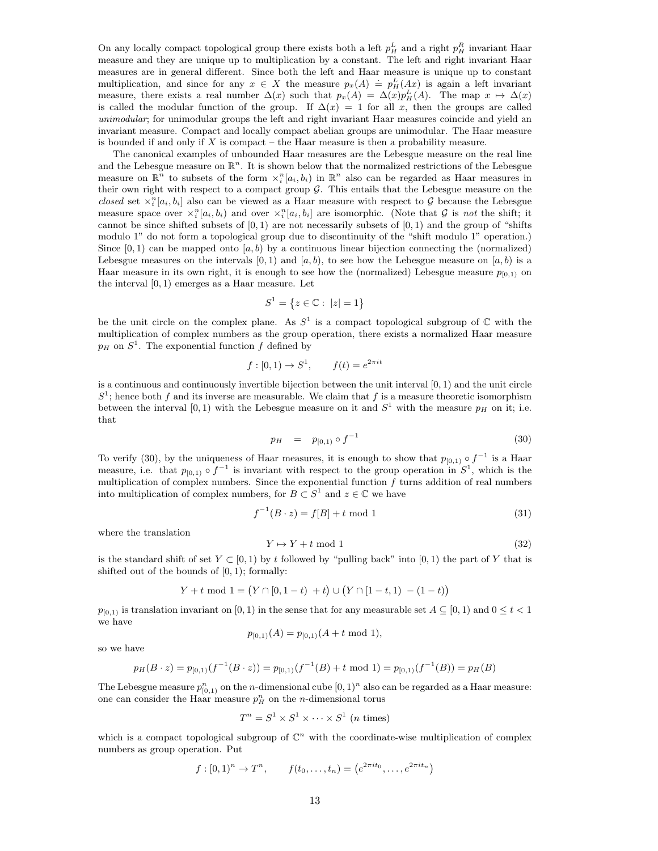On any locally compact topological group there exists both a left  $p_H^L$  and a right  $p_H^R$  invariant Haar measure and they are unique up to multiplication by a constant. The left and right invariant Haar measures are in general different. Since both the left and Haar measure is unique up to constant multiplication, and since for any  $x \in X$  the measure  $p_x(A) \doteq p_H^L(Ax)$  is again a left invariant measure, there exists a real number  $\Delta(x)$  such that  $p_x(A) = \Delta(x)p_H^L(A)$ . The map  $x \mapsto \Delta(x)$ is called the modular function of the group. If  $\Delta(x) = 1$  for all x, then the groups are called unimodular; for unimodular groups the left and right invariant Haar measures coincide and yield an invariant measure. Compact and locally compact abelian groups are unimodular. The Haar measure is bounded if and only if  $X$  is compact – the Haar measure is then a probability measure.

The canonical examples of unbounded Haar measures are the Lebesgue measure on the real line and the Lebesgue measure on  $\mathbb{R}^n$ . It is shown below that the normalized restrictions of the Lebesgue measure on  $\mathbb{R}^n$  to subsets of the form  $\chi_i^n[a_i, b_i)$  in  $\mathbb{R}^n$  also can be regarded as Haar measures in their own right with respect to a compact group  $\mathcal G$ . This entails that the Lebesgue measure on the closed set  $\chi_i^n[a_i, b_i]$  also can be viewed as a Haar measure with respect to G because the Lebesgue measure space over  $\chi_i^n[a_i, b_i]$  and over  $\chi_i^n[a_i, b_i]$  are isomorphic. (Note that G is not the shift; it cannot be since shifted subsets of  $[0, 1)$  are not necessarily subsets of  $[0, 1)$  and the group of "shifts" modulo 1" do not form a topological group due to discontinuity of the "shift modulo 1" operation.) Since  $[0, 1)$  can be mapped onto  $[a, b)$  by a continuous linear bijection connecting the (normalized) Lebesgue measures on the intervals  $[0, 1)$  and  $[a, b)$ , to see how the Lebesgue measure on  $[a, b)$  is a Haar measure in its own right, it is enough to see how the (normalized) Lebesgue measure  $p_{[0,1)}$  on the interval  $[0, 1)$  emerges as a Haar measure. Let

$$
S^1 = \{ z \in \mathbb{C} : \ |z| = 1 \}
$$

be the unit circle on the complex plane. As  $S^1$  is a compact topological subgroup of  $\mathbb C$  with the multiplication of complex numbers as the group operation, there exists a normalized Haar measure  $p_H$  on  $S^1$ . The exponential function f defined by

$$
f: [0, 1) \to S^1
$$
,  $f(t) = e^{2\pi i t}$ 

is a continuous and continuously invertible bijection between the unit interval  $[0, 1)$  and the unit circle  $S<sup>1</sup>$ ; hence both f and its inverse are measurable. We claim that f is a measure theoretic isomorphism between the interval [0, 1) with the Lebesgue measure on it and  $S<sup>1</sup>$  with the measure  $p<sub>H</sub>$  on it; i.e. that

$$
p_H = p_{[0,1)} \circ f^{-1} \tag{30}
$$

To verify (30), by the uniqueness of Haar measures, it is enough to show that  $p_{[0,1)} \circ f^{-1}$  is a Haar measure, i.e. that  $p_{[0,1)} \circ f^{-1}$  is invariant with respect to the group operation in  $S^1$ , which is the multiplication of complex numbers. Since the exponential function  $f$  turns addition of real numbers into multiplication of complex numbers, for  $B \subset S^1$  and  $z \in \mathbb{C}$  we have

$$
f^{-1}(B \cdot z) = f[B] + t \mod 1 \tag{31}
$$

where the translation

$$
Y \mapsto Y + t \mod 1 \tag{32}
$$

is the standard shift of set  $Y \subset [0, 1)$  by t followed by "pulling back" into  $[0, 1)$  the part of Y that is shifted out of the bounds of  $[0, 1)$ ; formally:

$$
Y + t \mod 1 = (Y \cap [0, 1 - t) + t) \cup (Y \cap [1 - t, 1) - (1 - t))
$$

 $p_{[0,1)}$  is translation invariant on [0, 1) in the sense that for any measurable set  $A \subseteq [0,1)$  and  $0 \le t < 1$ we have

$$
p_{[0,1)}(A) = p_{[0,1)}(A + t \mod 1),
$$

so we have

$$
p_H(B \cdot z) = p_{[0,1)}(f^{-1}(B \cdot z)) = p_{[0,1)}(f^{-1}(B) + t \mod 1) = p_{[0,1)}(f^{-1}(B)) = p_H(B)
$$

The Lebesgue measure  $p_{[0,1)}^n$  on the *n*-dimensional cube  $[0,1)^n$  also can be regarded as a Haar measure: one can consider the Haar measure  $p_H^n$  on the *n*-dimensional torus

$$
T^n = S^1 \times S^1 \times \cdots \times S^1 \text{ (n times)}
$$

which is a compact topological subgroup of  $\mathbb{C}^n$  with the coordinate-wise multiplication of complex numbers as group operation. Put

$$
f: [0, 1)^n \to T^n
$$
,  $f(t_0, ..., t_n) = (e^{2\pi i t_0}, ..., e^{2\pi i t_n})$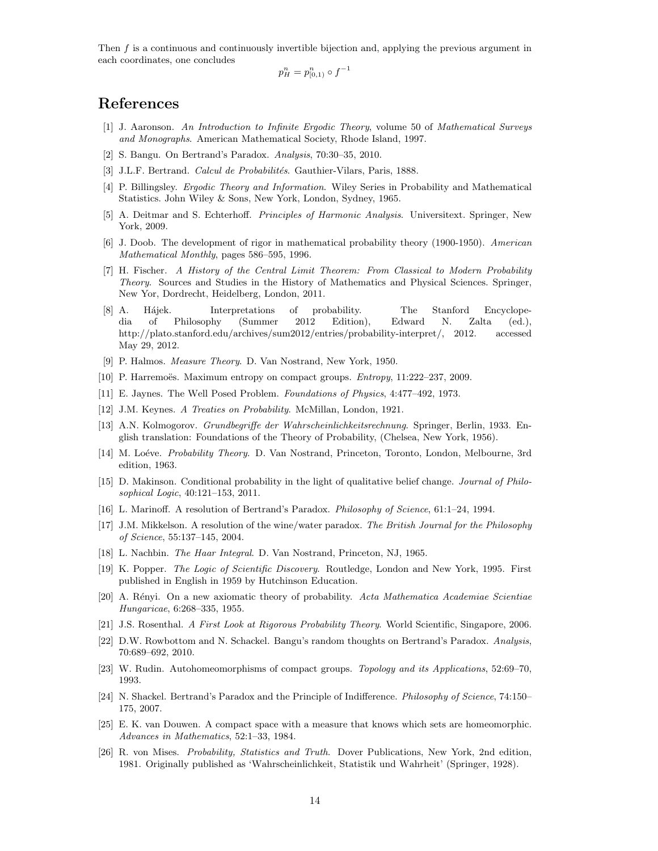Then f is a continuous and continuously invertible bijection and, applying the previous argument in each coordinates, one concludes

$$
p_H^n = p_{[0,1)}^n \circ f^{-1}
$$

# References

- [1] J. Aaronson. An Introduction to Infinite Ergodic Theory, volume 50 of Mathematical Surveys and Monographs. American Mathematical Society, Rhode Island, 1997.
- [2] S. Bangu. On Bertrand's Paradox. Analysis, 70:30–35, 2010.
- [3] J.L.F. Bertrand. Calcul de Probabilités. Gauthier-Vilars, Paris, 1888.
- [4] P. Billingsley. Ergodic Theory and Information. Wiley Series in Probability and Mathematical Statistics. John Wiley & Sons, New York, London, Sydney, 1965.
- [5] A. Deitmar and S. Echterhoff. *Principles of Harmonic Analysis*. Universitext. Springer, New York, 2009.
- [6] J. Doob. The development of rigor in mathematical probability theory (1900-1950). American Mathematical Monthly, pages 586–595, 1996.
- [7] H. Fischer. A History of the Central Limit Theorem: From Classical to Modern Probability Theory. Sources and Studies in the History of Mathematics and Physical Sciences. Springer, New Yor, Dordrecht, Heidelberg, London, 2011.
- [8] A. Hájek. Interpretations of probability. The Stanford Encyclopedia of Philosophy (Summer 2012 Edition), Edward N. Zalta (ed.), http://plato.stanford.edu/archives/sum2012/entries/probability-interpret/, 2012. accessed May 29, 2012.
- [9] P. Halmos. Measure Theory. D. Van Nostrand, New York, 1950.
- [10] P. Harremoës. Maximum entropy on compact groups.  $Entropy, 11:222-237, 2009$ .
- [11] E. Jaynes. The Well Posed Problem. Foundations of Physics, 4:477–492, 1973.
- [12] J.M. Keynes. A Treaties on Probability. McMillan, London, 1921.
- [13] A.N. Kolmogorov. Grundbegriffe der Wahrscheinlichkeitsrechnung. Springer, Berlin, 1933. English translation: Foundations of the Theory of Probability, (Chelsea, New York, 1956).
- [14] M. Loéve. Probability Theory. D. Van Nostrand, Princeton, Toronto, London, Melbourne, 3rd edition, 1963.
- [15] D. Makinson. Conditional probability in the light of qualitative belief change. Journal of Philosophical Logic, 40:121–153, 2011.
- [16] L. Marinoff. A resolution of Bertrand's Paradox. Philosophy of Science, 61:1–24, 1994.
- [17] J.M. Mikkelson. A resolution of the wine/water paradox. The British Journal for the Philosophy of Science, 55:137–145, 2004.
- [18] L. Nachbin. The Haar Integral. D. Van Nostrand, Princeton, NJ, 1965.
- [19] K. Popper. The Logic of Scientific Discovery. Routledge, London and New York, 1995. First published in English in 1959 by Hutchinson Education.
- [20] A. Rényi. On a new axiomatic theory of probability. Acta Mathematica Academiae Scientiae Hungaricae, 6:268–335, 1955.
- [21] J.S. Rosenthal. A First Look at Rigorous Probability Theory. World Scientific, Singapore, 2006.
- [22] D.W. Rowbottom and N. Schackel. Bangu's random thoughts on Bertrand's Paradox. Analysis, 70:689–692, 2010.
- [23] W. Rudin. Autohomeomorphisms of compact groups. Topology and its Applications, 52:69–70, 1993.
- [24] N. Shackel. Bertrand's Paradox and the Principle of Indifference. Philosophy of Science, 74:150– 175, 2007.
- [25] E. K. van Douwen. A compact space with a measure that knows which sets are homeomorphic. Advances in Mathematics, 52:1–33, 1984.
- [26] R. von Mises. Probability, Statistics and Truth. Dover Publications, New York, 2nd edition, 1981. Originally published as 'Wahrscheinlichkeit, Statistik und Wahrheit' (Springer, 1928).